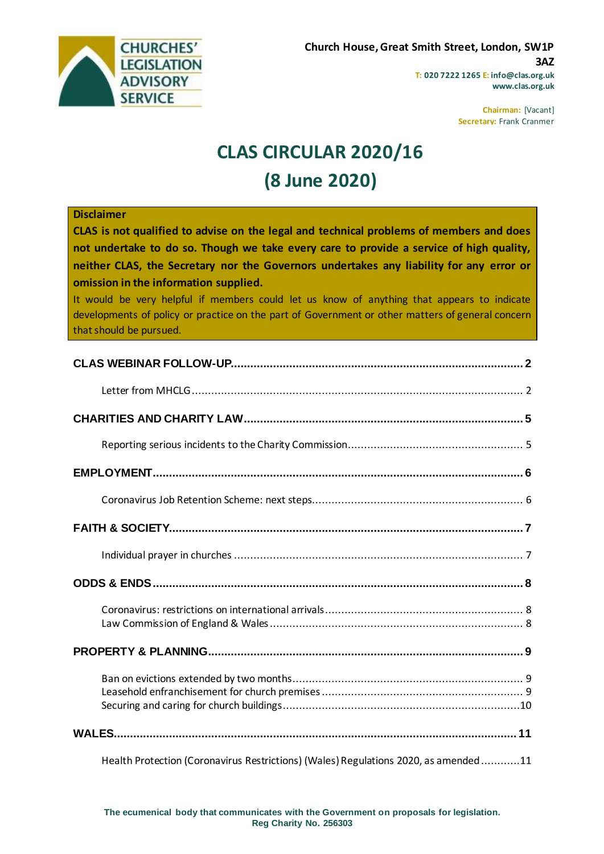

**www.clas.org.uk**

**Chairman:** [Vacant] **Secretary:** Frank Cranmer

# **CLAS CIRCULAR 2020/16 (8 June 2020)**

#### **Disclaimer**

**CLAS is not qualified to advise on the legal and technical problems of members and does not undertake to do so. Though we take every care to provide a service of high quality, neither CLAS, the Secretary nor the Governors undertakes any liability for any error or omission in the information supplied.**

It would be very helpful if members could let us know of anything that appears to indicate developments of policy or practice on the part of Government or other matters of general concern that should be pursued.

| Health Protection (Coronavirus Restrictions) (Wales) Regulations 2020, as amended 11 |  |
|--------------------------------------------------------------------------------------|--|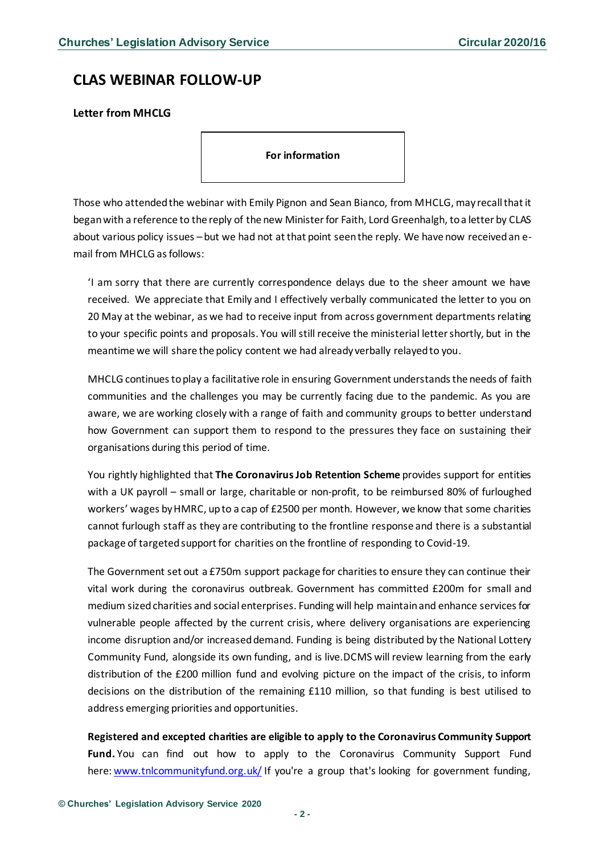## <span id="page-1-0"></span>**CLAS WEBINAR FOLLOW-UP**

<span id="page-1-1"></span>**Letter from MHCLG**

**For information** 

Those who attended the webinar with Emily Pignon and Sean Bianco, from MHCLG, may recall that it began with a reference to the reply of the new Minister for Faith, Lord Greenhalgh, to a letter by CLAS about various policy issues – but we had not at that point seen the reply. We have now received an email from MHCLG as follows:

'I am sorry that there are currently correspondence delays due to the sheer amount we have received. We appreciate that Emily and I effectively verbally communicated the letter to you on 20 May at the webinar, as we had to receive input from across government departments relating to your specific points and proposals. You will still receive the ministerial letter shortly, but in the meantime we will share the policy content we had already verbally relayed to you.

MHCLG continues to play a facilitative role in ensuring Government understands the needs of faith communities and the challenges you may be currently facing due to the pandemic. As you are aware, we are working closely with a range of faith and community groups to better understand how Government can support them to respond to the pressures they face on sustaining their organisations during this period of time.

You rightly highlighted that **The Coronavirus Job Retention Scheme** provides support for entities with a UK payroll – small or large, charitable or non-profit, to be reimbursed 80% of furloughed workers' wages by HMRC, up to a cap of £2500 per month. However, we know that some charities cannot furlough staff as they are contributing to the frontline response and there is a substantial package of targeted support for charities on the frontline of responding to Covid-19.

The Government set out a £750m support package for charities to ensure they can continue their vital work during the coronavirus outbreak. Government has committed £200m for small and medium sized charities and social enterprises. Funding will help maintain and enhance services for vulnerable people affected by the current crisis, where delivery organisations are experiencing income disruption and/or increased demand. Funding is being distributed by the National Lottery Community Fund, alongside its own funding, and is live.DCMS will review learning from the early distribution of the £200 million fund and evolving picture on the impact of the crisis, to inform decisions on the distribution of the remaining £110 million, so that funding is best utilised to address emerging priorities and opportunities.

**Registered and excepted charities are eligible to apply to the Coronavirus Community Support Fund.** You can find out how to apply to the Coronavirus Community Support Fund here: [www.tnlcommunityfund.org.uk/](http://www.tnlcommunityfund.org.uk/) If you're a group that's looking for government funding,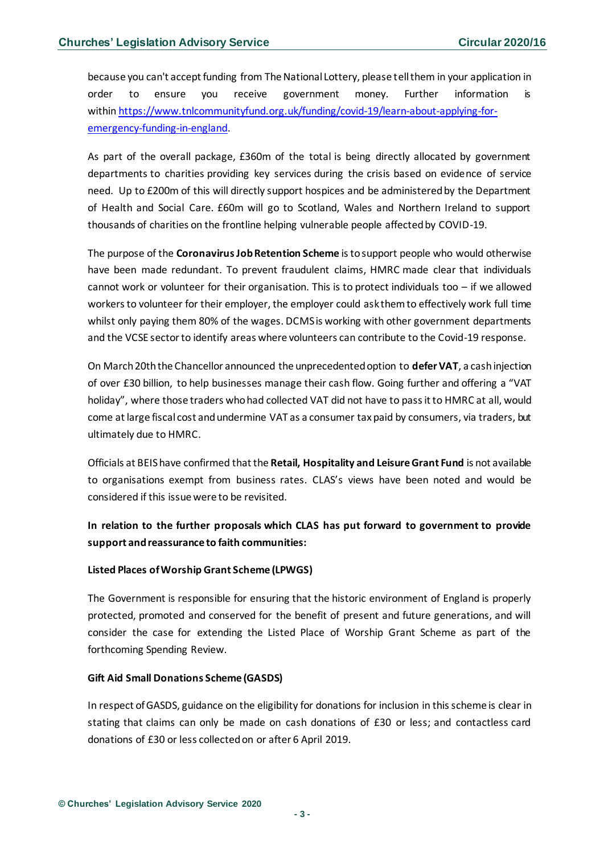because you can't accept funding from The National Lottery, please tell them in your application in order to ensure you receive government money. Further information is within [https://www.tnlcommunityfund.org.uk/funding/covid-19/learn-about-applying-for](https://www.tnlcommunityfund.org.uk/funding/covid-19/learn-about-applying-for-emergency-funding-in-england)[emergency-funding-in-england.](https://www.tnlcommunityfund.org.uk/funding/covid-19/learn-about-applying-for-emergency-funding-in-england)

As part of the overall package, £360m of the total is being directly allocated by government departments to charities providing key services during the crisis based on evidence of service need. Up to £200m of this will directly support hospices and be administered by the Department of Health and Social Care. £60m will go to Scotland, Wales and Northern Ireland to support thousands of charities on the frontline helping vulnerable people affected by COVID-19.

The purpose of the **Coronavirus Job Retention Scheme** is to support people who would otherwise have been made redundant. To prevent fraudulent claims, HMRC made clear that individuals cannot work or volunteer for their organisation. This is to protect individuals too  $-$  if we allowed workers to volunteer for their employer, the employer could ask them to effectively work full time whilst only paying them 80% of the wages. DCMS is working with other government departments and the VCSE sector to identify areas where volunteers can contribute to the Covid-19 response.

On March 20th the Chancellor announced the unprecedented option to **defer VAT**, a cashinjection of over £30 billion, to help businesses manage their cash flow. Going further and offering a "VAT holiday", where those traders who had collected VAT did not have to pass it to HMRC at all, would come at large fiscal cost and undermine VAT as a consumer tax paid by consumers, via traders, but ultimately due to HMRC.

Officials at BEIS have confirmed that the **Retail, Hospitality and Leisure Grant Fund** is not available to organisations exempt from business rates. CLAS's views have been noted and would be considered if this issue were to be revisited.

## **In relation to the further proposals which CLAS has put forward to government to provide support and reassurance to faith communities:**

#### **Listed Places of Worship Grant Scheme (LPWGS)**

The Government is responsible for ensuring that the historic environment of England is properly protected, promoted and conserved for the benefit of present and future generations, and will consider the case for extending the Listed Place of Worship Grant Scheme as part of the forthcoming Spending Review.

#### **Gift Aid Small Donations Scheme (GASDS)**

In respect of GASDS, guidance on the eligibility for donations for inclusion in this scheme is clear in stating that claims can only be made on cash donations of £30 or less; and contactless card donations of £30 or less collected on or after 6 April 2019.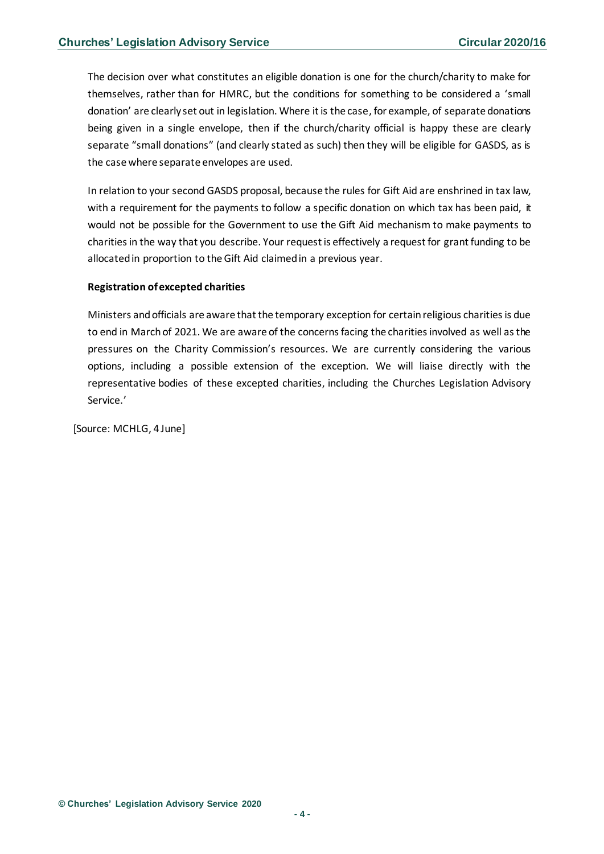The decision over what constitutes an eligible donation is one for the church/charity to make for themselves, rather than for HMRC, but the conditions for something to be considered a 'small donation' are clearly set out in legislation. Where it is the case, for example, of separate donations being given in a single envelope, then if the church/charity official is happy these are clearly separate "small donations" (and clearly stated as such) then they will be eligible for GASDS, as is the case where separate envelopes are used.

In relation to your second GASDS proposal, because the rules for Gift Aid are enshrined in tax law, with a requirement for the payments to follow a specific donation on which tax has been paid, it would not be possible for the Government to use the Gift Aid mechanism to make payments to charities in the way that you describe. Your request is effectively a request for grant funding to be allocated in proportion to the Gift Aid claimed in a previous year.

#### **Registration of excepted charities**

Ministers and officials are aware that the temporary exception for certain religious charities is due to end in March of 2021. We are aware of the concerns facing the charities involved as well as the pressures on the Charity Commission's resources. We are currently considering the various options, including a possible extension of the exception. We will liaise directly with the representative bodies of these excepted charities, including the Churches Legislation Advisory Service.'

[Source: MCHLG, 4 June]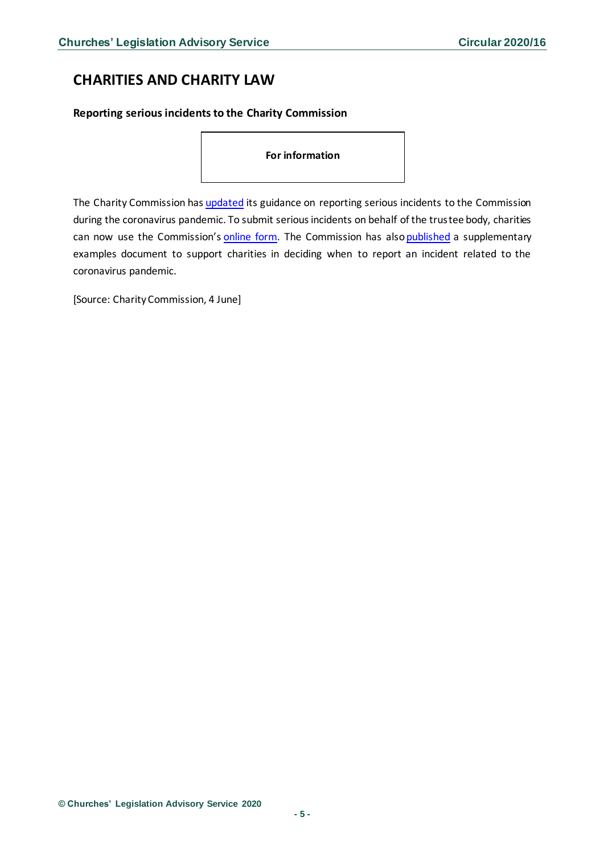# <span id="page-4-0"></span>**CHARITIES AND CHARITY LAW**

<span id="page-4-1"></span>**Reporting serious incidents to the Charity Commission**

**For information** 

The Charity Commission has [updated](https://www.gov.uk/guidance/how-to-report-a-serious-incident-in-your-charity#history) its guidance on reporting serious incidents to the Commission during the coronavirus pandemic. To submit serious incidents on behalf of the trustee body, charities can now use the Commission's [online form.](https://ccforms.charitycommission.gov.uk/) The Commission has also published a supplementary examples document to support charities in deciding when to report an incident related to the coronavirus pandemic.

[Source: Charity Commission, 4 June]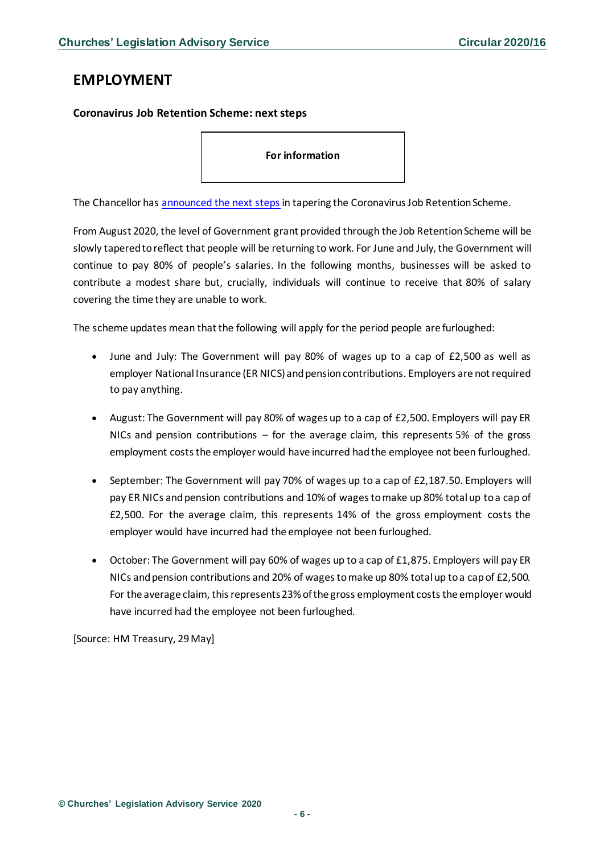## <span id="page-5-0"></span>**EMPLOYMENT**

### <span id="page-5-1"></span>**Coronavirus Job Retention Scheme: next steps**

**For information** 

The Chancellor has [announced the next steps](https://www.gov.uk/government/news/chancellor-extends-self-employment-support-scheme-and-confirms-furlough-next-steps) in tapering the Coronavirus Job Retention Scheme.

From August 2020, the level of Government grant provided through the Job Retention Scheme will be slowly tapered to reflect that people will be returning to work. For June and July, the Government will continue to pay 80% of people's salaries. In the following months, businesses will be asked to contribute a modest share but, crucially, individuals will continue to receive that 80% of salary covering the time they are unable to work.

The scheme updates mean that the following will apply for the period people are furloughed:

- June and July: The Government will pay 80% of wages up to a cap of £2,500 as well as employer National Insurance (ER NICS) and pension contributions. Employers are not required to pay anything.
- August: The Government will pay 80% of wages up to a cap of £2,500. Employers will pay ER NICs and pension contributions – for the average claim, this represents 5% of the gross employment costs the employer would have incurred had the employee not been furloughed.
- September: The Government will pay 70% of wages up to a cap of £2,187.50. Employers will pay ER NICs and pension contributions and 10% of wages to make up 80% total up to a cap of £2,500. For the average claim, this represents 14% of the gross employment costs the employer would have incurred had the employee not been furloughed.
- October: The Government will pay 60% of wages up to a cap of £1,875. Employers will pay ER NICs and pension contributions and 20% of wages to make up 80% total up to a cap of £2,500. For the average claim, this represents 23% of the gross employment costs the employer would have incurred had the employee not been furloughed.

[Source: HM Treasury, 29 May]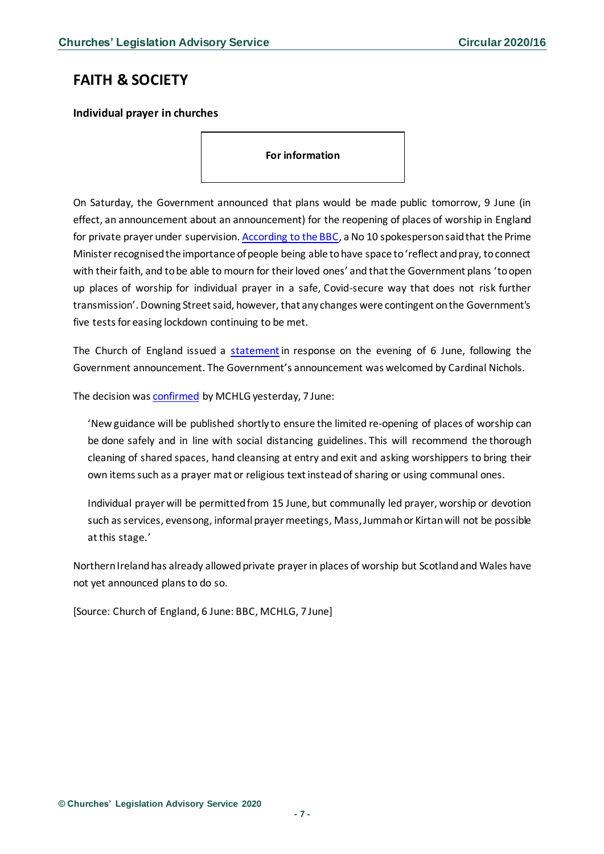## <span id="page-6-0"></span>**FAITH & SOCIETY**

### <span id="page-6-1"></span>**Individual prayer in churches**

**For information** 

On Saturday, the Government announced that plans would be made public tomorrow, 9 June (in effect, an announcement about an announcement) for the reopening of places of worship in England for private prayer under supervision[. According to the BBC,](https://www.bbc.co.uk/news/uk-52951853) a No 10 spokesperson said that the Prime Minister recognised the importance of people being able to have space to 'reflect and pray, to connect with their faith, and to be able to mourn for their loved ones' and that the Government plans 'to open up places of worship for individual prayer in a safe, Covid-secure way that does not risk further transmission'. Downing Street said, however, that any changes were contingent on the Government's five tests for easing lockdown continuing to be met.

The Church of England issued a [statement](https://www.churchofengland.org/more/media-centre/news/statement-individual-prayer-churches) in response on the evening of 6 June, following the Government announcement. The Government's announcement was welcomed by Cardinal Nichols.

The decision wa[s confirmed](https://www.gov.uk/government/news/places-of-worship-to-re-open-for-individual-prayer) by MCHLG yesterday, 7 June:

'New guidance will be published shortly to ensure the limited re-opening of places of worship can be done safely and in line with social distancing guidelines. This will recommend the thorough cleaning of shared spaces, hand cleansing at entry and exit and asking worshippers to bring their own items such as a prayer mat or religious text instead of sharing or using communal ones.

Individual prayer will be permitted from 15 June, but communally led prayer, worship or devotion such as services, evensong, informal prayer meetings, Mass, Jummah or Kirtan will not be possible at this stage.'

Northern Ireland has already allowed private prayer in places of worship but Scotland and Wales have not yet announced plans to do so.

[Source: Church of England, 6 June: BBC, MCHLG, 7 June]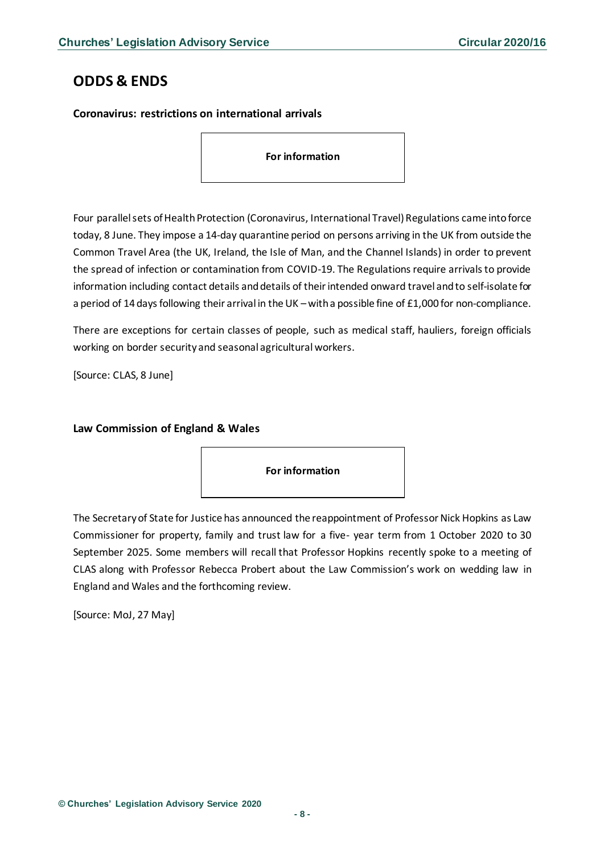# <span id="page-7-0"></span>**ODDS & ENDS**

### <span id="page-7-1"></span>**Coronavirus: restrictions on international arrivals**

**For information** 

Four parallel sets of Health Protection (Coronavirus, International Travel) Regulations came into force today, 8 June. They impose a 14-day quarantine period on persons arriving in the UK from outside the Common Travel Area (the UK, Ireland, the Isle of Man, and the Channel Islands) in order to prevent the spread of infection or contamination from COVID-19. The Regulations require arrivals to provide information including contact details and details of their intended onward travel and to self-isolate for a period of 14 days following their arrival in the UK – with a possible fine of £1,000 for non-compliance.

There are exceptions for certain classes of people, such as medical staff, hauliers, foreign officials working on border security and seasonal agricultural workers.

[Source: CLAS, 8 June]

#### <span id="page-7-2"></span>**Law Commission of England & Wales**

**For information** 

The Secretary of State for Justice has announced the reappointment of Professor Nick Hopkins as Law Commissioner for property, family and trust law for a five- year term from 1 October 2020 to 30 September 2025. Some members will recall that Professor Hopkins recently spoke to a meeting of CLAS along with Professor Rebecca Probert about the Law Commission's work on wedding law in England and Wales and the forthcoming review.

[Source: MoJ, 27 May]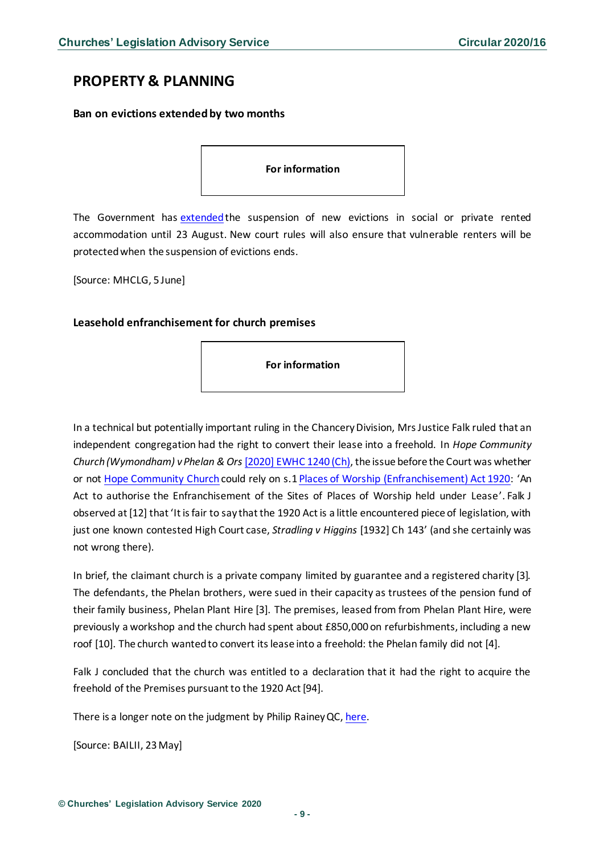## <span id="page-8-0"></span>**PROPERTY & PLANNING**

#### <span id="page-8-1"></span>**Ban on evictions extended by two months**

#### **For information**

The Government has [extendedt](https://www.gov.uk/government/news/ban-on-evictions-extended-by-2-months-to-further-protect-renters)he suspension of new evictions in social or private rented accommodation until 23 August. New court rules will also ensure that vulnerable renters will be protected when the suspension of evictions ends.

[Source: MHCLG, 5 June]

#### <span id="page-8-2"></span>**Leasehold enfranchisement for church premises**

**For information** 

In a technical but potentially important ruling in the Chancery Division, Mrs Justice Falk ruled that an independent congregation had the right to convert their lease into a freehold. In *Hope Community Church (Wymondham) v Phelan & Ors* [\[2020\] EWHC 1240 \(Ch\),](https://www.bailii.org/ew/cases/EWHC/Ch/2020/1240.html) the issue before the Court was whether or not [Hope Community Church](https://www.hopecommunitychurch.co.uk/) could rely on s.1 [Places of Worship \(Enfranchisement\) Act 1920:](https://www.legislation.gov.uk/ukpga/Geo5/10-11/56/contents) 'An Act to authorise the Enfranchisement of the Sites of Places of Worship held under Lease'. Falk J observed at [12] that 'It is fair to say that the 1920 Act is a little encountered piece of legislation, with just one known contested High Court case, *Stradling v Higgins* [1932] Ch 143' (and she certainly was not wrong there).

In brief, the claimant church is a private company limited by guarantee and a registered charity [3]. The defendants, the Phelan brothers, were sued in their capacity as trustees of the pension fund of their family business, Phelan Plant Hire [3]. The premises, leased from from Phelan Plant Hire, were previously a workshop and the church had spent about £850,000 on refurbishments, including a new roof [10]. The church wanted to convert its lease into a freehold: the Phelan family did not [4].

Falk J concluded that the church was entitled to a declaration that it had the right to acquire the freehold of the Premises pursuant to the 1920 Act [94].

There is a longer note on the judgment by Philip Rainey QC, [here.](https://www.tanfieldchambers.co.uk/2020/05/22/100-years-on-the-statute-book-but-only-one-contested-caseuntil-now/)

[Source: BAILII, 23May]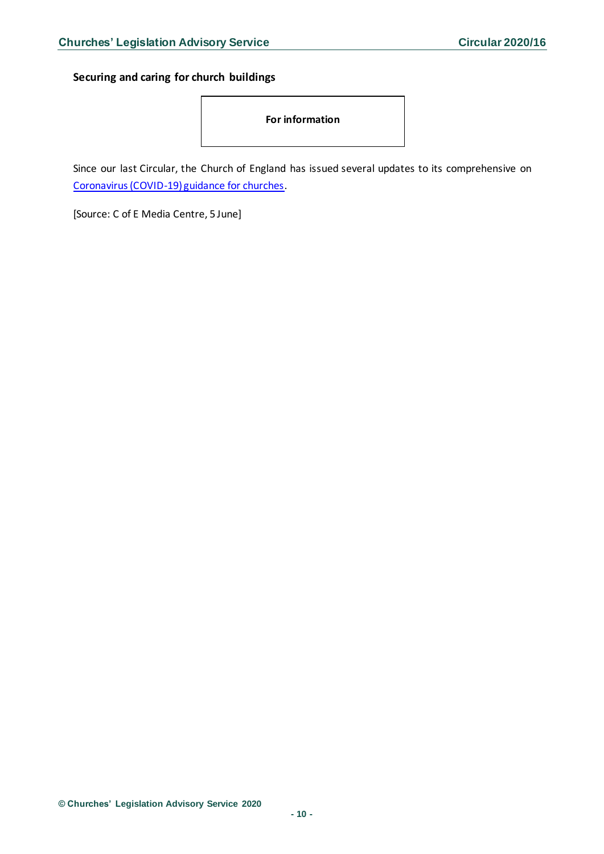<span id="page-9-0"></span>**Securing and caring for church buildings**



Since our last Circular, the Church of England has issued several updates to its comprehensive on [Coronavirus \(COVID-19\) guidance for churches.](https://www.churchofengland.org/more/media-centre/coronavirus-covid-19-guidance-churches#na)

[Source: C of E Media Centre, 5 June]